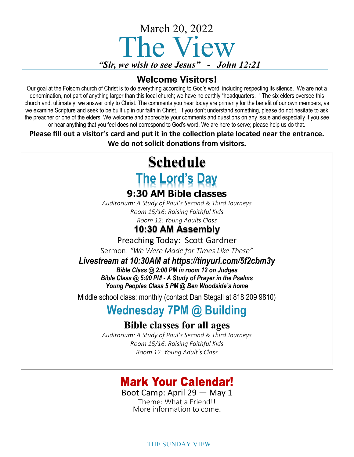

#### **Welcome Visitors!**

Our goal at the Folsom church of Christ is to do everything according to God's word, including respecting its silence. We are not a denomination, not part of anything larger than this local church; we have no earthly "headquarters. " The six elders oversee this church and, ultimately, we answer only to Christ. The comments you hear today are primarily for the benefit of our own members, as we examine Scripture and seek to be built up in our faith in Christ. If you don't understand something, please do not hesitate to ask the preacher or one of the elders. We welcome and appreciate your comments and questions on any issue and especially if you see or hear anything that you feel does not correspond to God's word. We are here to serve; please help us do that.

**Please fill out a visitor's card and put it in the collection plate located near the entrance. We do not solicit donations from visitors.**

# **Schedule The Lord's Day**

#### **9:30 AM Bible classes**

*Auditorium: A Study of Paul's Second & Third Journeys Room 15/16: Raising Faithful Kids Room 12: Young Adults Class*

#### **10:30 AM Assembly**

Preaching Today: Scott Gardner

Sermon: *"We Were Made for Times Like These"* 

#### *Livestream at 10:30AM at https://tinyurl.com/5f2cbm3y*

*Bible Class @ 2:00 PM in room 12 on Judges Bible Class @ 5:00 PM - A Study of Prayer in the Psalms Young Peoples Class 5 PM @ Ben Woodside's home*

Middle school class: monthly (contact Dan Stegall at 818 209 9810)

## **Wednesday 7PM @ Building**

#### **Bible classes for all ages**

*Auditorium: A Study of Paul's Second & Third Journeys Room 15/16: Raising Faithful Kids Room 12: Young Adult's Class*

### **Mark Your Calendar!**

Boot Camp: April 29 — May 1 Theme: What a Friend!!

More information to come.

THE SUNDAY VIEW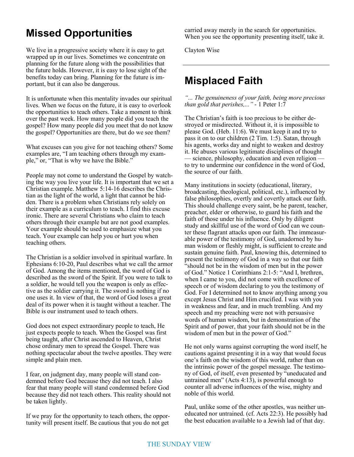### **Missed Opportunities**

We live in a progressive society where it is easy to get wrapped up in our lives. Sometimes we concentrate on planning for the future along with the possibilities that the future holds. However, it is easy to lose sight of the benefits today can bring. Planning for the future is important, but it can also be dangerous.

It is unfortunate when this mentality invades our spiritual lives. When we focus on the future, it is easy to overlook the opportunities to teach others. Take a moment to think over the past week. How many people did you teach the gospel? How many people did you meet that do not know the gospel? Opportunities are there, but do we see them?

What excuses can you give for not teaching others? Some examples are, "I am teaching others through my example," or, "That is why we have the Bible."

People may not come to understand the Gospel by watching the way you live your life. It is important that we set a Christian example. Matthew 5:14-16 describes the Christian as the light of the world, a light that cannot be hidden. There is a problem when Christians rely solely on their example as a curriculum to teach. I find this excuse ironic. There are several Christians who claim to teach others through their example but are not good examples. Your example should be used to emphasize what you teach. Your example can help you or hurt you when teaching others.

The Christian is a soldier involved in spiritual warfare. In Ephesians 6:10-20, Paul describes what we call the armor of God. Among the items mentioned, the word of God is described as the sword of the Spirit. If you were to talk to a soldier, he would tell you the weapon is only as effective as the soldier carrying it. The sword is nothing if no one uses it. In view of that, the word of God loses a great deal of its power when it is taught without a teacher. The Bible is our instrument used to teach others.

God does not expect extraordinary people to teach, He just expects people to teach. When the Gospel was first being taught, after Christ ascended to Heaven, Christ chose ordinary men to spread the Gospel. There was nothing spectacular about the twelve apostles. They were simple and plain men.

I fear, on judgment day, many people will stand condemned before God because they did not teach. I also fear that many people will stand condemned before God because they did not teach others. This reality should not be taken lightly.

If we pray for the opportunity to teach others, the opportunity will present itself. Be cautious that you do not get carried away merely in the search for opportunities. When you see the opportunity presenting itself, take it.

Clayton Wise

#### **Misplaced Faith**

*"... The genuineness of your faith, being more precious than gold that perishes,..."* - 1 Peter 1:7

The Christian's faith is too precious to be either destroyed or misdirected. Without it, it is impossible to please God. (Heb. 11:6). We must keep it and try to pass it on to our children (2 Tim. 1:5). Satan, through his agents, works day and night to weaken and destroy it. He abuses various legitimate disciplines of thought — science, philosophy, education and even religion to try to undermine our confidence in the word of God, the source of our faith.

Many institutions in society (educational, literary, broadcasting, theological, political, etc.), influenced by false philosophies, overtly and covertly attack our faith. This should challenge every saint, be he parent, teacher, preacher, elder or otherwise, to guard his faith and the faith of those under his influence. Only by diligent study and skillful use of the word of God can we counter these flagrant attacks upon our faith. The immeasurable power of the testimony of God, unadorned by human wisdom or fleshly might, is sufficient to create and sustain genuine faith. Paul, knowing this, determined to present the testimony of God in a way so that our faith "should not be in the wisdom of men but in the power of God." Notice 1 Corinthians 2:1-5: "And I, brethren, when I came to you, did not come with excellence of speech or of wisdom declaring to you the testimony of God. For I determined not to know anything among you except Jesus Christ and Him crucified. I was with you in weakness and fear, and in much trembling. And my speech and my preaching were not with persuasive words of human wisdom, but in demonstration of the Spirit and of power, that your faith should not be in the wisdom of men but in the power of God."

He not only warns against corrupting the word itself, he cautions against presenting it in a way that would focus one's faith on the wisdom of this world, rather than on the intrinsic power of the gospel message. The testimony of God, of itself, even presented by "uneducated and untrained men" (Acts 4:13), is powerful enough to counter all adverse influences of the wise, mighty and noble of this world.

Paul, unlike some of the other apostles, was neither uneducated nor untrained. (cf. Acts 22:3). He possibly had the best education available to a Jewish lad of that day.